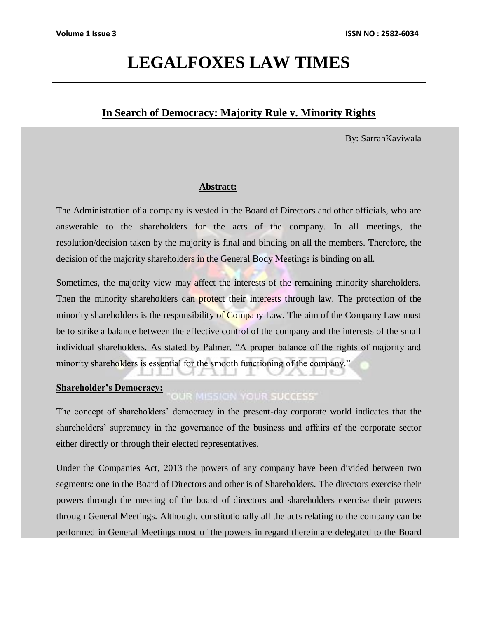# **LEGALFOXES LAW TIMES**

## **In Search of Democracy: Majority Rule v. Minority Rights**

By: SarrahKaviwala

#### **Abstract:**

The Administration of a company is vested in the Board of Directors and other officials, who are answerable to the shareholders for the acts of the company. In all meetings, the resolution/decision taken by the majority is final and binding on all the members. Therefore, the decision of the majority shareholders in the General Body Meetings is binding on all.

Sometimes, the majority view may affect the interests of the remaining minority shareholders. Then the minority shareholders can protect their interests through law. The protection of the minority shareholders is the responsibility of Company Law. The aim of the Company Law must be to strike a balance between the effective control of the company and the interests of the small individual shareholders. As stated by Palmer. "A proper balance of the rights of majority and minority shareholders is essential for the smooth functioning of the company."

#### **Shareholder's Democracy:**

### **OUR MISSION YOUR SUCCESS'**

The concept of shareholders' democracy in the present-day corporate world indicates that the shareholders' supremacy in the governance of the business and affairs of the corporate sector either directly or through their elected representatives.

Under the Companies Act, 2013 the powers of any company have been divided between two segments: one in the Board of Directors and other is of Shareholders. The directors exercise their powers through the meeting of the board of directors and shareholders exercise their powers through General Meetings. Although, constitutionally all the acts relating to the company can be performed in General Meetings most of the powers in regard therein are delegated to the Board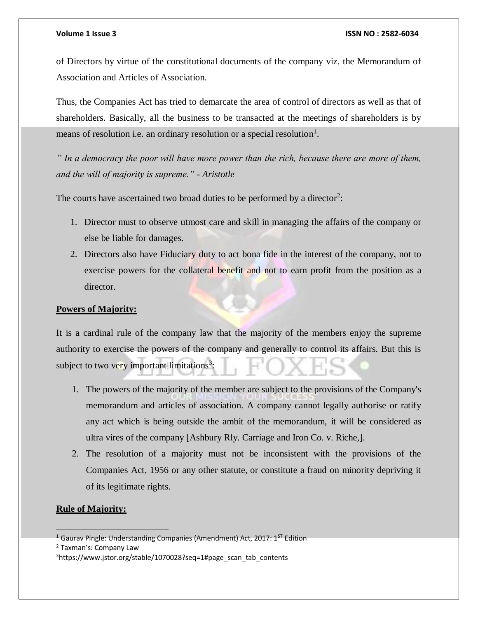of Directors by virtue of the constitutional documents of the company viz. the Memorandum of Association and Articles of Association.

Thus, the Companies Act has tried to demarcate the area of control of directors as well as that of shareholders. Basically, all the business to be transacted at the meetings of shareholders is by means of resolution i.e. an ordinary resolution or a special resolution<sup>1</sup>.

*" In a democracy the poor will have more power than the rich, because there are more of them, and the will of majority is supreme." - Aristotle*

The courts have ascertained two broad duties to be performed by a director<sup>2</sup>:

- 1. Director must to observe utmost care and skill in managing the affairs of the company or else be liable for damages.
- 2. Directors also have Fiduciary duty to act bona fide in the interest of the company, not to exercise powers for the collateral benefit and not to earn profit from the position as a director.

### **Powers of Majority:**

It is a cardinal rule of the company law that the majority of the members enjoy the supreme authority to exercise the powers of the company and generally to control its affairs. But this is subject to two very important limitations<sup>3</sup>:

- 1. The powers of the majority of the member are subject to the provisions of the Company's memorandum and articles of association. A company cannot legally authorise or ratify any act which is being outside the ambit of the memorandum, it will be considered as ultra vires of the company [Ashbury Rly. Carriage and Iron Co. v. Riche,].
- 2. The resolution of a majority must not be inconsistent with the provisions of the Companies Act, 1956 or any other statute, or constitute a fraud on minority depriving it of its legitimate rights.

### **Rule of Majority:**

 <sup>1</sup> Gaurav Pingle: Understanding Companies (Amendment) Act, 2017:  $1<sup>ST</sup>$  Edition

<sup>2</sup> Taxman's: Company Law

<sup>3</sup>https://www.jstor.org/stable/1070028?seq=1#page\_scan\_tab\_contents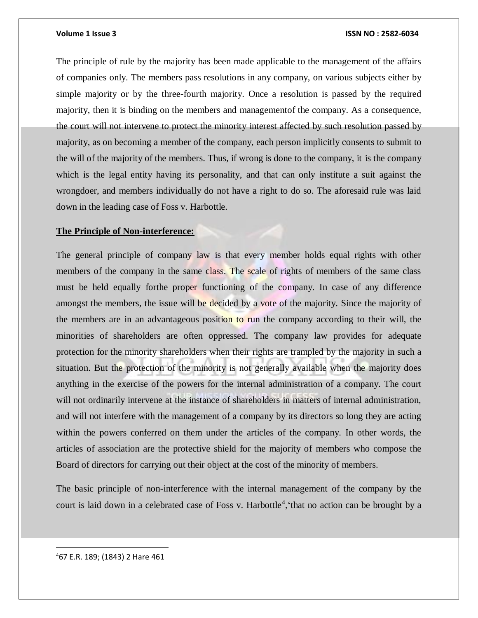The principle of rule by the majority has been made applicable to the management of the affairs of companies only. The members pass resolutions in any company, on various subjects either by simple majority or by the three-fourth majority. Once a resolution is passed by the required majority, then it is binding on the members and managementof the company. As a consequence, the court will not intervene to protect the minority interest affected by such resolution passed by majority, as on becoming a member of the company, each person implicitly consents to submit to the will of the majority of the members. Thus, if wrong is done to the company, it is the company which is the legal entity having its personality, and that can only institute a suit against the wrongdoer, and members individually do not have a right to do so. The aforesaid rule was laid down in the leading case of Foss v. Harbottle.

#### **The Principle of Non-interference:**

The general principle of company law is that every member holds equal rights with other members of the company in the same class. The scale of rights of members of the same class must be held equally forthe proper functioning of the company. In case of any difference amongst the members, the issue will be decided by a vote of the majority. Since the majority of the members are in an advantageous position to run the company according to their will, the minorities of shareholders are often oppressed. The company law provides for adequate protection for the minority shareholders when their rights are trampled by the majority in such a situation. But the protection of the minority is not generally available when the majority does anything in the exercise of the powers for the internal administration of a company. The court will not ordinarily intervene at the instance of shareholders in matters of internal administration, and will not interfere with the management of a company by its directors so long they are acting within the powers conferred on them under the articles of the company. In other words, the articles of association are the protective shield for the majority of members who compose the Board of directors for carrying out their object at the cost of the minority of members.

The basic principle of non-interference with the internal management of the company by the court is laid down in a celebrated case of Foss v. Harbottle<sup>4</sup>, that no action can be brought by a

 $\overline{a}$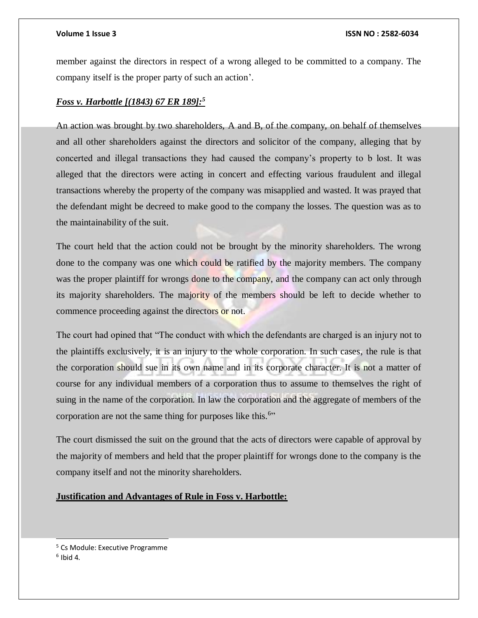member against the directors in respect of a wrong alleged to be committed to a company. The company itself is the proper party of such an action'.

### *Foss v. Harbottle [(1843) 67 ER 189]:<sup>5</sup>*

An action was brought by two shareholders, A and B, of the company, on behalf of themselves and all other shareholders against the directors and solicitor of the company, alleging that by concerted and illegal transactions they had caused the company's property to b lost. It was alleged that the directors were acting in concert and effecting various fraudulent and illegal transactions whereby the property of the company was misapplied and wasted. It was prayed that the defendant might be decreed to make good to the company the losses. The question was as to the maintainability of the suit.

The court held that the action could not be brought by the minority shareholders. The wrong done to the company was one which could be ratified by the majority members. The company was the proper plaintiff for wrongs done to the company, and the company can act only through its majority shareholders. The majority of the members should be left to decide whether to commence proceeding against the directors or not.

The court had opined that "The conduct with which the defendants are charged is an injury not to the plaintiffs exclusively, it is an injury to the whole corporation. In such cases, the rule is that the corporation should sue in its own name and in its corporate character. It is not a matter of course for any individual members of a corporation thus to assume to themselves the right of suing in the name of the corporation. In law the corporation and the aggregate of members of the corporation are not the same thing for purposes like this.<sup>6</sup>"

The court dismissed the suit on the ground that the acts of directors were capable of approval by the majority of members and held that the proper plaintiff for wrongs done to the company is the company itself and not the minority shareholders.

### **Justification and Advantages of Rule in Foss v. Harbottle:**

l

<sup>5</sup> Cs Module: Executive Programme

 $<sup>6</sup>$  Ibid 4.</sup>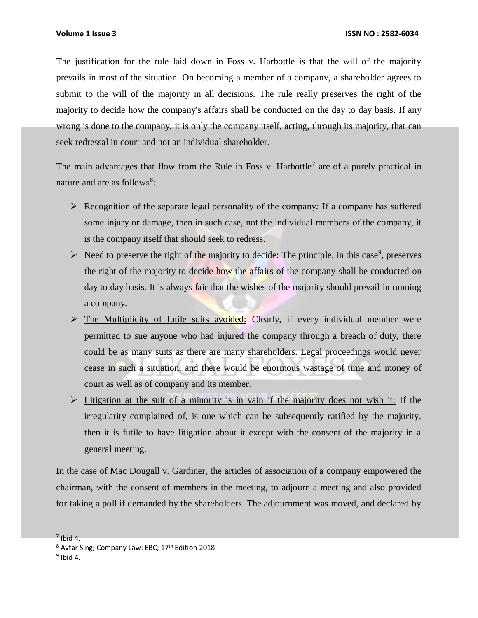The justification for the rule laid down in Foss v. Harbottle is that the will of the majority prevails in most of the situation. On becoming a member of a company, a shareholder agrees to submit to the will of the majority in all decisions. The rule really preserves the right of the majority to decide how the company's affairs shall be conducted on the day to day basis. If any wrong is done to the company, it is only the company itself, acting, through its majority, that can seek redressal in court and not an individual shareholder.

The main advantages that flow from the Rule in Foss v. Harbottle<sup>7</sup> are of a purely practical in nature and are as follows<sup>8</sup>:

- $\triangleright$  Recognition of the separate legal personality of the company: If a company has suffered some injury or damage, then in such case, not the individual members of the company, it is the company itself that should seek to redress.
- $\triangleright$  Need to preserve the right of the majority to decide: The principle, in this case<sup>9</sup>, preserves the right of the majority to decide how the affairs of the company shall be conducted on day to day basis. It is always fair that the wishes of the majority should prevail in running a company.
- $\triangleright$  The Multiplicity of futile suits avoided: Clearly, if every individual member were permitted to sue anyone who had injured the company through a breach of duty, there could be as many suits as there are many shareholders. Legal proceedings would never cease in such a situation, and there would be enormous wastage of time and money of court as well as of company and its member.
- $\triangleright$  Litigation at the suit of a minority is in vain if the majority does not wish it: If the irregularity complained of, is one which can be subsequently ratified by the majority, then it is futile to have litigation about it except with the consent of the majority in a general meeting.

In the case of Mac Dougall v. Gardiner, the articles of association of a company empowered the chairman, with the consent of members in the meeting, to adjourn a meeting and also provided for taking a poll if demanded by the shareholders. The adjournment was moved, and declared by

 $<sup>7</sup>$  Ibid 4.</sup>

 $8$  Avtar Sing; Company Law: EBC;  $17<sup>th</sup>$  Edition 2018

 $9$  Ibid 4.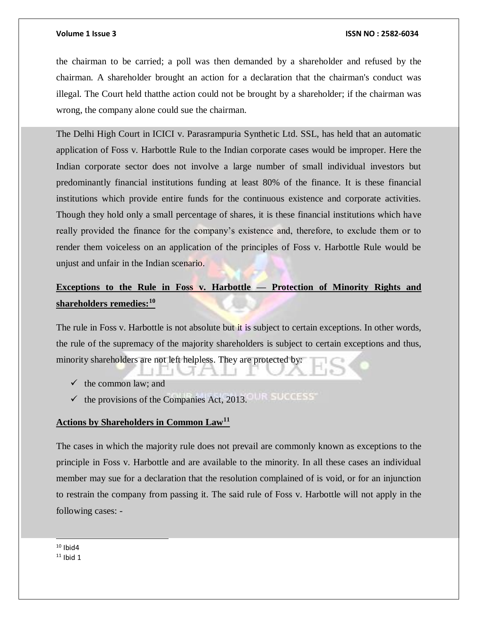the chairman to be carried; a poll was then demanded by a shareholder and refused by the chairman. A shareholder brought an action for a declaration that the chairman's conduct was illegal. The Court held thatthe action could not be brought by a shareholder; if the chairman was wrong, the company alone could sue the chairman.

The Delhi High Court in ICICI v. Parasrampuria Synthetic Ltd. SSL, has held that an automatic application of Foss v. Harbottle Rule to the Indian corporate cases would be improper. Here the Indian corporate sector does not involve a large number of small individual investors but predominantly financial institutions funding at least 80% of the finance. It is these financial institutions which provide entire funds for the continuous existence and corporate activities. Though they hold only a small percentage of shares, it is these financial institutions which have really provided the finance for the company's existence and, therefore, to exclude them or to render them voiceless on an application of the principles of Foss v. Harbottle Rule would be unjust and unfair in the Indian scenario.

## **Exceptions to the Rule in Foss v. Harbottle — Protection of Minority Rights and shareholders remedies:<sup>10</sup>**

The rule in Foss v. Harbottle is not absolute but it is subject to certain exceptions. In other words, the rule of the supremacy of the majority shareholders is subject to certain exceptions and thus, minority shareholders are not left helpless. They are protected by:

- $\checkmark$  the common law; and
- $\checkmark$  the provisions of the Companies Act, 2013.

### **Actions by Shareholders in Common Law<sup>11</sup>**

The cases in which the majority rule does not prevail are commonly known as exceptions to the principle in Foss v. Harbottle and are available to the minority. In all these cases an individual member may sue for a declaration that the resolution complained of is void, or for an injunction to restrain the company from passing it. The said rule of Foss v. Harbottle will not apply in the following cases: -

l  $10$  Ibid4

 $11$  Ibid 1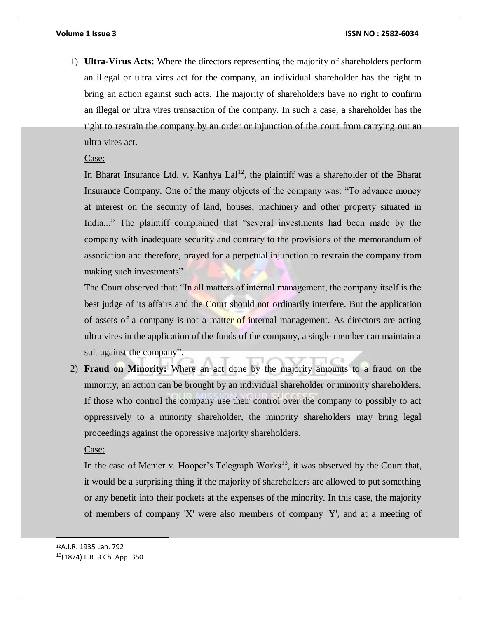1) **Ultra-Virus Acts:** Where the directors representing the majority of shareholders perform an illegal or ultra vires act for the company, an individual shareholder has the right to bring an action against such acts. The majority of shareholders have no right to confirm an illegal or ultra vires transaction of the company. In such a case, a shareholder has the right to restrain the company by an order or injunction of the court from carrying out an ultra vires act.

#### Case:

In Bharat Insurance Ltd. v. Kanhya  $\text{L}al^{12}$ , the plaintiff was a shareholder of the Bharat Insurance Company. One of the many objects of the company was: "To advance money at interest on the security of land, houses, machinery and other property situated in India..." The plaintiff complained that "several investments had been made by the company with inadequate security and contrary to the provisions of the memorandum of association and therefore, prayed for a perpetual injunction to restrain the company from making such investments".

The Court observed that: "In all matters of internal management, the company itself is the best judge of its affairs and the Court should not ordinarily interfere. But the application of assets of a company is not a matter of internal management. As directors are acting ultra vires in the application of the funds of the company, a single member can maintain a suit against the company".

2) **Fraud on Minority:** Where an act done by the majority amounts to a fraud on the minority, an action can be brought by an individual shareholder or minority shareholders. If those who control the company use their control over the company to possibly to act oppressively to a minority shareholder, the minority shareholders may bring legal proceedings against the oppressive majority shareholders.

Case:

In the case of Menier v. Hooper's Telegraph Works<sup>13</sup>, it was observed by the Court that, it would be a surprising thing if the majority of shareholders are allowed to put something or any benefit into their pockets at the expenses of the minority. In this case, the majority of members of company 'X' were also members of company 'Y', and at a meeting of

 $\overline{a}$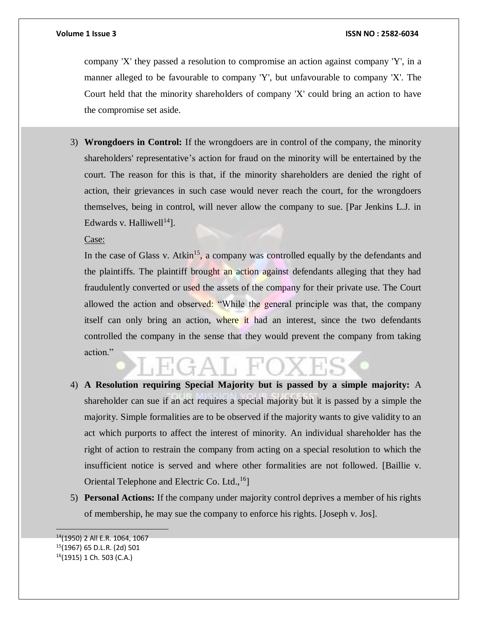company 'X' they passed a resolution to compromise an action against company 'Y', in a manner alleged to be favourable to company 'Y', but unfavourable to company 'X'. The Court held that the minority shareholders of company 'X' could bring an action to have the compromise set aside.

3) **Wrongdoers in Control:** If the wrongdoers are in control of the company, the minority shareholders' representative's action for fraud on the minority will be entertained by the court. The reason for this is that, if the minority shareholders are denied the right of action, their grievances in such case would never reach the court, for the wrongdoers themselves, being in control, will never allow the company to sue. [Par Jenkins L.J. in Edwards v. Halliwell<sup>14</sup>].

Case:

In the case of Glass v. Atkin<sup>15</sup>, a company was controlled equally by the defendants and the plaintiffs. The plaintiff brought an action against defendants alleging that they had fraudulently converted or used the assets of the company for their private use. The Court allowed the action and observed: "While the general principle was that, the company itself can only bring an action, where it had an interest, since the two defendants controlled the company in the sense that they would prevent the company from taking action."

- 4) **A Resolution requiring Special Majority but is passed by a simple majority:** A shareholder can sue if an act requires a special majority but it is passed by a simple the majority. Simple formalities are to be observed if the majority wants to give validity to an act which purports to affect the interest of minority. An individual shareholder has the right of action to restrain the company from acting on a special resolution to which the insufficient notice is served and where other formalities are not followed. [Baillie v. Oriental Telephone and Electric Co. Ltd.,<sup>16</sup>]
- 5) **Personal Actions:** If the company under majority control deprives a member of his rights of membership, he may sue the company to enforce his rights. [Joseph v. Jos].

 <sup>14</sup>(1950) 2 All E.R. 1064, 1067 <sup>15</sup>(1967) 65 D.L.R. (2d) 501 16(1915) 1 Ch. 503 (C.A.)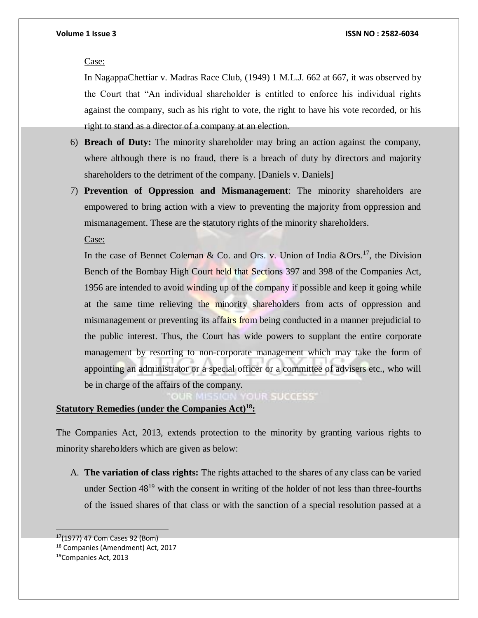#### Case:

In NagappaChettiar v. Madras Race Club, (1949) 1 M.L.J. 662 at 667, it was observed by the Court that "An individual shareholder is entitled to enforce his individual rights against the company, such as his right to vote, the right to have his vote recorded, or his right to stand as a director of a company at an election.

- 6) **Breach of Duty:** The minority shareholder may bring an action against the company, where although there is no fraud, there is a breach of duty by directors and majority shareholders to the detriment of the company. [Daniels v. Daniels]
- 7) **Prevention of Oppression and Mismanagement**: The minority shareholders are empowered to bring action with a view to preventing the majority from oppression and mismanagement. These are the statutory rights of the minority shareholders.

Case:

In the case of Bennet Coleman & Co. and Ors. v. Union of India  $&Ors.17$ , the Division Bench of the Bombay High Court held that Sections 397 and 398 of the Companies Act, 1956 are intended to avoid winding up of the company if possible and keep it going while at the same time relieving the minority shareholders from acts of oppression and mismanagement or preventing its affairs from being conducted in a manner prejudicial to the public interest. Thus, the Court has wide powers to supplant the entire corporate management by resorting to non-corporate management which may take the form of appointing an administrator or a special officer or a committee of advisers etc., who will be in charge of the affairs of the company.

**OUR SUCCESS'** 

### **Statutory Remedies (under the Companies Act)<sup>18</sup>:**

The Companies Act, 2013, extends protection to the minority by granting various rights to minority shareholders which are given as below:

A. **The variation of class rights:** The rights attached to the shares of any class can be varied under Section 48<sup>19</sup> with the consent in writing of the holder of not less than three-fourths of the issued shares of that class or with the sanction of a special resolution passed at a

<sup>17</sup>(1977) 47 Com Cases 92 (Bom)

<sup>18</sup> Companies (Amendment) Act, 2017

<sup>19</sup>Companies Act, 2013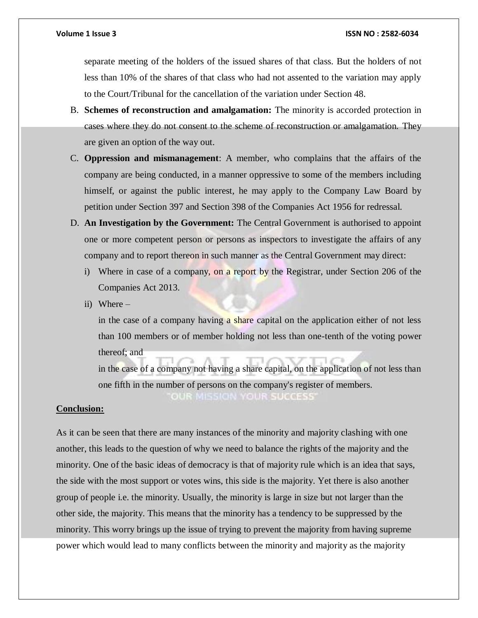separate meeting of the holders of the issued shares of that class. But the holders of not less than 10% of the shares of that class who had not assented to the variation may apply to the Court/Tribunal for the cancellation of the variation under Section 48.

- B. **Schemes of reconstruction and amalgamation:** The minority is accorded protection in cases where they do not consent to the scheme of reconstruction or amalgamation. They are given an option of the way out.
- C. **Oppression and mismanagement**: A member, who complains that the affairs of the company are being conducted, in a manner oppressive to some of the members including himself, or against the public interest, he may apply to the Company Law Board by petition under Section 397 and Section 398 of the Companies Act 1956 for redressal.
- D. **An Investigation by the Government:** The Central Government is authorised to appoint one or more competent person or persons as inspectors to investigate the affairs of any company and to report thereon in such manner as the Central Government may direct:
	- i) Where in case of a company, on a report by the Registrar, under Section 206 of the Companies Act 2013.
	- ii) Where –

in the case of a company having a share capital on the application either of not less than 100 members or of member holding not less than one-tenth of the voting power thereof; and

in the case of a company not having a share capital, on the application of not less than one fifth in the number of persons on the company's register of members. OUR MISSION YOUR SUCCESS'

#### **Conclusion:**

As it can be seen that there are many instances of the minority and majority clashing with one another, this leads to the question of why we need to balance the rights of the majority and the minority. One of the basic ideas of democracy is that of majority rule which is an idea that says, the side with the most support or votes wins, this side is the majority. Yet there is also another group of people i.e. the minority. Usually, the minority is large in size but not larger than the other side, the majority. This means that the minority has a tendency to be suppressed by the minority. This worry brings up the issue of trying to prevent the majority from having supreme power which would lead to many conflicts between the minority and majority as the majority